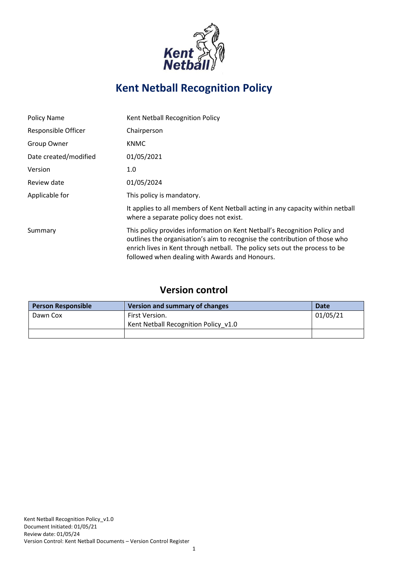

# **Kent Netball Recognition Policy**

| <b>Policy Name</b>    | Kent Netball Recognition Policy                                                                                                                                                                                                                                                          |
|-----------------------|------------------------------------------------------------------------------------------------------------------------------------------------------------------------------------------------------------------------------------------------------------------------------------------|
| Responsible Officer   | Chairperson                                                                                                                                                                                                                                                                              |
| Group Owner           | <b>KNMC</b>                                                                                                                                                                                                                                                                              |
| Date created/modified | 01/05/2021                                                                                                                                                                                                                                                                               |
| Version               | 1.0                                                                                                                                                                                                                                                                                      |
| Review date           | 01/05/2024                                                                                                                                                                                                                                                                               |
| Applicable for        | This policy is mandatory.                                                                                                                                                                                                                                                                |
|                       | It applies to all members of Kent Netball acting in any capacity within netball<br>where a separate policy does not exist.                                                                                                                                                               |
| Summary               | This policy provides information on Kent Netball's Recognition Policy and<br>outlines the organisation's aim to recognise the contribution of those who<br>enrich lives in Kent through netball. The policy sets out the process to be<br>followed when dealing with Awards and Honours. |

# **Version control**

| <b>Person Responsible</b> | Version and summary of changes       | Date     |
|---------------------------|--------------------------------------|----------|
| Dawn Cox                  | First Version.                       | 01/05/21 |
|                           | Kent Netball Recognition Policy v1.0 |          |
|                           |                                      |          |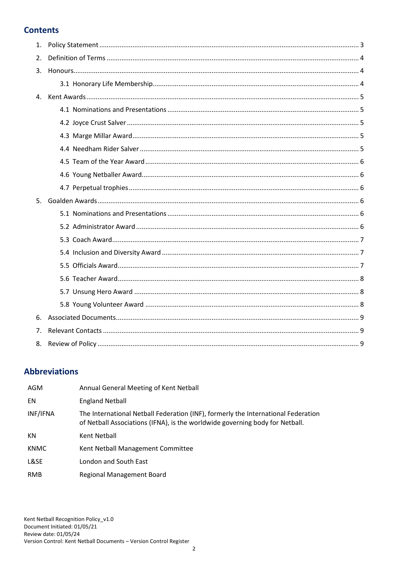# **Contents**

| 1. |  |
|----|--|
| 2. |  |
| 3. |  |
|    |  |
|    |  |
|    |  |
|    |  |
|    |  |
|    |  |
|    |  |
|    |  |
|    |  |
|    |  |
| 5. |  |
|    |  |
|    |  |
|    |  |
|    |  |
|    |  |
|    |  |
|    |  |
|    |  |
| 6. |  |
| 7. |  |

# **Abbreviations**

| AGM         | Annual General Meeting of Kent Netball                                                                                                                            |
|-------------|-------------------------------------------------------------------------------------------------------------------------------------------------------------------|
| EN          | <b>England Netball</b>                                                                                                                                            |
| INF/IFNA    | The International Netball Federation (INF), formerly the International Federation<br>of Netball Associations (IFNA), is the worldwide governing body for Netball. |
| KN          | Kent Netball                                                                                                                                                      |
| <b>KNMC</b> | Kent Netball Management Committee                                                                                                                                 |
| L&SE        | London and South East                                                                                                                                             |
| <b>RMB</b>  | Regional Management Board                                                                                                                                         |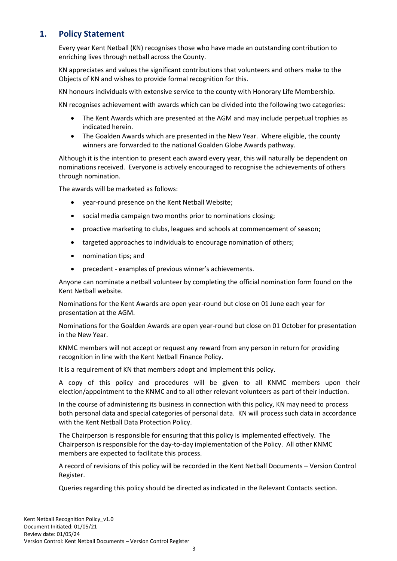# <span id="page-2-0"></span>**1. Policy Statement**

Every year Kent Netball (KN) recognises those who have made an outstanding contribution to enriching lives through netball across the County.

KN appreciates and values the significant contributions that volunteers and others make to the Objects of KN and wishes to provide formal recognition for this.

KN honours individuals with extensive service to the county with Honorary Life Membership.

KN recognises achievement with awards which can be divided into the following two categories:

- The Kent Awards which are presented at the AGM and may include perpetual trophies as indicated herein.
- The Goalden Awards which are presented in the New Year. Where eligible, the county winners are forwarded to the national Goalden Globe Awards pathway.

Although it is the intention to present each award every year, this will naturally be dependent on nominations received. Everyone is actively encouraged to recognise the achievements of others through nomination.

The awards will be marketed as follows:

- year-round presence on the Kent Netball Website;
- social media campaign two months prior to nominations closing;
- proactive marketing to clubs, leagues and schools at commencement of season;
- targeted approaches to individuals to encourage nomination of others;
- nomination tips; and
- precedent examples of previous winner's achievements.

Anyone can nominate a netball volunteer by completing the official nomination form found on the Kent Netball website.

Nominations for the Kent Awards are open year-round but close on 01 June each year for presentation at the AGM.

Nominations for the Goalden Awards are open year-round but close on 01 October for presentation in the New Year.

KNMC members will not accept or request any reward from any person in return for providing recognition in line with the Kent Netball Finance Policy.

It is a requirement of KN that members adopt and implement this policy.

A copy of this policy and procedures will be given to all KNMC members upon their election/appointment to the KNMC and to all other relevant volunteers as part of their induction.

In the course of administering its business in connection with this policy, KN may need to process both personal data and special categories of personal data. KN will process such data in accordance with the Kent Netball Data Protection Policy.

The Chairperson is responsible for ensuring that this policy is implemented effectively. The Chairperson is responsible for the day-to-day implementation of the Policy. All other KNMC members are expected to facilitate this process.

A record of revisions of this policy will be recorded in the Kent Netball Documents – Version Control Register.

Queries regarding this policy should be directed as indicated in the Relevant Contacts section.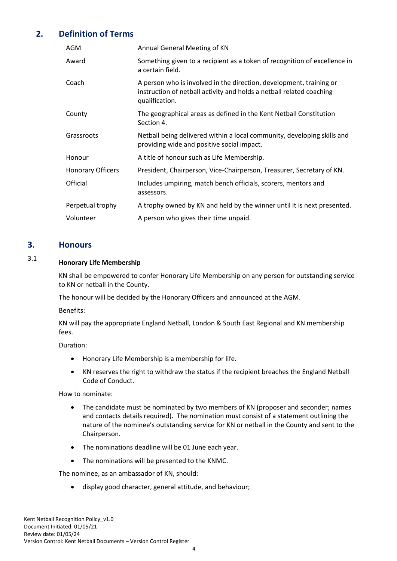# **2. Definition of Terms**

<span id="page-3-0"></span>

| AGM                      | Annual General Meeting of KN                                                                                                                                  |
|--------------------------|---------------------------------------------------------------------------------------------------------------------------------------------------------------|
| Award                    | Something given to a recipient as a token of recognition of excellence in<br>a certain field.                                                                 |
| Coach                    | A person who is involved in the direction, development, training or<br>instruction of netball activity and holds a netball related coaching<br>qualification. |
| County                   | The geographical areas as defined in the Kent Netball Constitution<br>Section 4.                                                                              |
| Grassroots               | Netball being delivered within a local community, developing skills and<br>providing wide and positive social impact.                                         |
| Honour                   | A title of honour such as Life Membership.                                                                                                                    |
| <b>Honorary Officers</b> | President, Chairperson, Vice-Chairperson, Treasurer, Secretary of KN.                                                                                         |
| Official                 | Includes umpiring, match bench officials, scorers, mentors and<br>assessors.                                                                                  |
| Perpetual trophy         | A trophy owned by KN and held by the winner until it is next presented.                                                                                       |
| Volunteer                | A person who gives their time unpaid.                                                                                                                         |

### <span id="page-3-1"></span>**3. Honours**

# 3.1 **Honorary Life Membership**

<span id="page-3-2"></span>KN shall be empowered to confer Honorary Life Membership on any person for outstanding service to KN or netball in the County.

The honour will be decided by the Honorary Officers and announced at the AGM.

Benefits:

KN will pay the appropriate England Netball, London & South East Regional and KN membership fees.

Duration:

- Honorary Life Membership is a membership for life.
- KN reserves the right to withdraw the status if the recipient breaches the England Netball Code of Conduct.

How to nominate:

- The candidate must be nominated by two members of KN (proposer and seconder; names and contacts details required). The nomination must consist of a statement outlining the nature of the nominee's outstanding service for KN or netball in the County and sent to the Chairperson.
- The nominations deadline will be 01 June each year.
- The nominations will be presented to the KNMC.

The nominee, as an ambassador of KN, should:

• display good character, general attitude, and behaviour;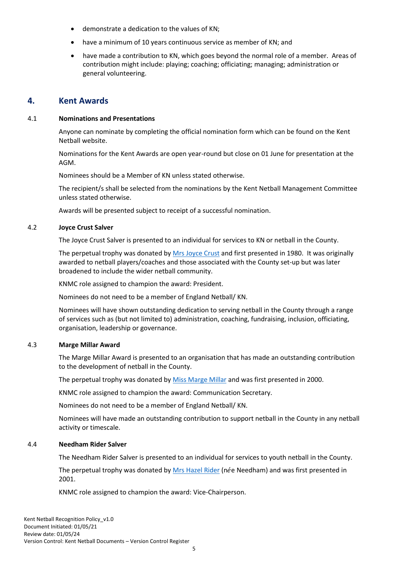- demonstrate a dedication to the values of KN;
- have a minimum of 10 years continuous service as member of KN; and
- have made a contribution to KN, which goes beyond the normal role of a member. Areas of contribution might include: playing; coaching; officiating; managing; administration or general volunteering.

#### <span id="page-4-0"></span>**4. Kent Awards**

#### 4.1 **Nominations and Presentations**

<span id="page-4-1"></span>Anyone can nominate by completing the official nomination form which can be found on the Kent Netball website.

Nominations for the Kent Awards are open year-round but close on 01 June for presentation at the AGM.

Nominees should be a Member of KN unless stated otherwise.

The recipient/s shall be selected from the nominations by the Kent Netball Management Committee unless stated otherwise.

<span id="page-4-2"></span>Awards will be presented subject to receipt of a successful nomination.

#### 4.2 **Joyce Crust Salver**

The Joyce Crust Salver is presented to an individual for services to KN or netball in the County.

The perpetual trophy was donated by [Mrs Joyce Crust](https://www.kentnetball.co.uk/life-members) and first presented in 1980. It was originally awarded to netball players/coaches and those associated with the County set-up but was later broadened to include the wider netball community.

KNMC role assigned to champion the award: President.

Nominees do not need to be a member of England Netball/ KN.

Nominees will have shown outstanding dedication to serving netball in the County through a range of services such as (but not limited to) administration, coaching, fundraising, inclusion, officiating, organisation, leadership or governance.

#### 4.3 **Marge Millar Award**

<span id="page-4-3"></span>The Marge Millar Award is presented to an organisation that has made an outstanding contribution to the development of netball in the County.

The perpetual trophy was donated by [Miss Marge Millar](https://www.kentnetball.co.uk/tributes) and was first presented in 2000.

KNMC role assigned to champion the award: Communication Secretary.

Nominees do not need to be a member of England Netball/ KN.

Nominees will have made an outstanding contribution to support netball in the County in any netball activity or timescale.

#### 4.4 **Needham Rider Salver**

<span id="page-4-4"></span>The Needham Rider Salver is presented to an individual for services to youth netball in the County.

The perpetual trophy was donated by [Mrs Hazel Rider](https://www.kentnetball.co.uk/tributes) (née Needham) and was first presented in 2001.

KNMC role assigned to champion the award: Vice-Chairperson.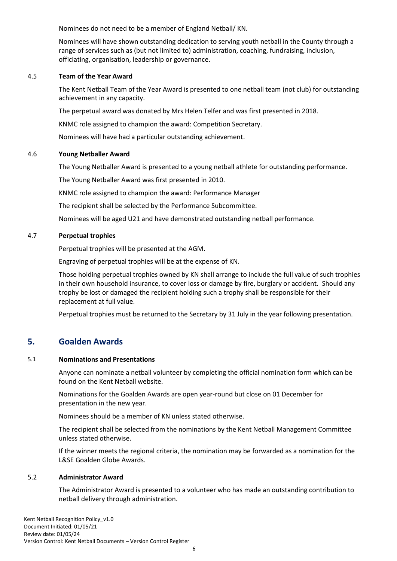Nominees do not need to be a member of England Netball/ KN.

Nominees will have shown outstanding dedication to serving youth netball in the County through a range of services such as (but not limited to) administration, coaching, fundraising, inclusion, officiating, organisation, leadership or governance.

#### 4.5 **Team of the Year Award**

<span id="page-5-0"></span>The Kent Netball Team of the Year Award is presented to one netball team (not club) for outstanding achievement in any capacity.

The perpetual award was donated by Mrs Helen Telfer and was first presented in 2018.

KNMC role assigned to champion the award: Competition Secretary.

<span id="page-5-1"></span>Nominees will have had a particular outstanding achievement.

#### 4.6 **Young Netballer Award**

The Young Netballer Award is presented to a young netball athlete for outstanding performance.

The Young Netballer Award was first presented in 2010.

KNMC role assigned to champion the award: Performance Manager

The recipient shall be selected by the Performance Subcommittee.

<span id="page-5-2"></span>Nominees will be aged U21 and have demonstrated outstanding netball performance.

#### 4.7 **Perpetual trophies**

Perpetual trophies will be presented at the AGM.

Engraving of perpetual trophies will be at the expense of KN.

Those holding perpetual trophies owned by KN shall arrange to include the full value of such trophies in their own household insurance, to cover loss or damage by fire, burglary or accident. Should any trophy be lost or damaged the recipient holding such a trophy shall be responsible for their replacement at full value.

<span id="page-5-3"></span>Perpetual trophies must be returned to the Secretary by 31 July in the year following presentation.

# **5. Goalden Awards**

#### 5.1 **Nominations and Presentations**

<span id="page-5-4"></span>Anyone can nominate a netball volunteer by completing the official nomination form which can be found on the Kent Netball website.

Nominations for the Goalden Awards are open year-round but close on 01 December for presentation in the new year.

Nominees should be a member of KN unless stated otherwise.

The recipient shall be selected from the nominations by the Kent Netball Management Committee unless stated otherwise.

If the winner meets the regional criteria, the nomination may be forwarded as a nomination for the L&SE Goalden Globe Awards.

#### 5.2 **Administrator Award**

<span id="page-5-5"></span>The Administrator Award is presented to a volunteer who has made an outstanding contribution to netball delivery through administration.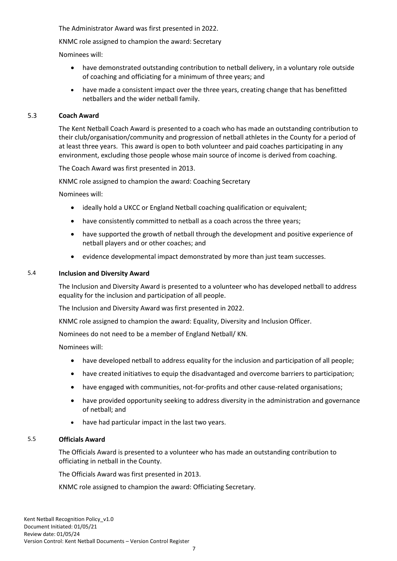The Administrator Award was first presented in 2022.

KNMC role assigned to champion the award: Secretary

Nominees will:

- have demonstrated outstanding contribution to netball delivery, in a voluntary role outside of coaching and officiating for a minimum of three years; and
- have made a consistent impact over the three years, creating change that has benefitted netballers and the wider netball family.

#### 5.3 **Coach Award**

<span id="page-6-0"></span>The Kent Netball Coach Award is presented to a coach who has made an outstanding contribution to their club/organisation/community and progression of netball athletes in the County for a period of at least three years. This award is open to both volunteer and paid coaches participating in any environment, excluding those people whose main source of income is derived from coaching.

The Coach Award was first presented in 2013.

KNMC role assigned to champion the award: Coaching Secretary

Nominees will:

- ideally hold a UKCC or England Netball coaching qualification or equivalent;
- have consistently committed to netball as a coach across the three years;
- have supported the growth of netball through the development and positive experience of netball players and or other coaches; and
- evidence developmental impact demonstrated by more than just team successes.

#### 5.4 **Inclusion and Diversity Award**

<span id="page-6-1"></span>The Inclusion and Diversity Award is presented to a volunteer who has developed netball to address equality for the inclusion and participation of all people.

The Inclusion and Diversity Award was first presented in 2022.

KNMC role assigned to champion the award: Equality, Diversity and Inclusion Officer.

Nominees do not need to be a member of England Netball/ KN.

Nominees will:

- have developed netball to address equality for the inclusion and participation of all people;
- have created initiatives to equip the disadvantaged and overcome barriers to participation;
- have engaged with communities, not-for-profits and other cause-related organisations;
- have provided opportunity seeking to address diversity in the administration and governance of netball; and
- have had particular impact in the last two years.

#### 5.5 **Officials Award**

<span id="page-6-2"></span>The Officials Award is presented to a volunteer who has made an outstanding contribution to officiating in netball in the County.

The Officials Award was first presented in 2013.

KNMC role assigned to champion the award: Officiating Secretary.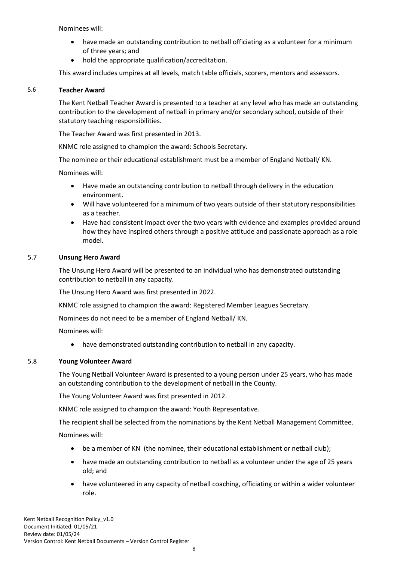Nominees will:

- have made an outstanding contribution to netball officiating as a volunteer for a minimum of three years; and
- hold the appropriate qualification/accreditation.

<span id="page-7-0"></span>This award includes umpires at all levels, match table officials, scorers, mentors and assessors.

#### 5.6 **Teacher Award**

The Kent Netball Teacher Award is presented to a teacher at any level who has made an outstanding contribution to the development of netball in primary and/or secondary school, outside of their statutory teaching responsibilities.

The Teacher Award was first presented in 2013.

KNMC role assigned to champion the award: Schools Secretary.

The nominee or their educational establishment must be a member of England Netball/ KN.

Nominees will:

- Have made an outstanding contribution to netball through delivery in the education environment.
- Will have volunteered for a minimum of two years outside of their statutory responsibilities as a teacher.
- Have had consistent impact over the two years with evidence and examples provided around how they have inspired others through a positive attitude and passionate approach as a role model.

#### 5.7 **Unsung Hero Award**

<span id="page-7-1"></span>The Unsung Hero Award will be presented to an individual who has demonstrated outstanding contribution to netball in any capacity.

The Unsung Hero Award was first presented in 2022.

KNMC role assigned to champion the award: Registered Member Leagues Secretary.

Nominees do not need to be a member of England Netball/ KN.

Nominees will:

• have demonstrated outstanding contribution to netball in any capacity.

#### 5.8 **Young Volunteer Award**

<span id="page-7-2"></span>The Young Netball Volunteer Award is presented to a young person under 25 years, who has made an outstanding contribution to the development of netball in the County.

The Young Volunteer Award was first presented in 2012.

KNMC role assigned to champion the award: Youth Representative.

The recipient shall be selected from the nominations by the Kent Netball Management Committee.

Nominees will:

- be a member of KN (the nominee, their educational establishment or netball club);
- have made an outstanding contribution to netball as a volunteer under the age of 25 years old; and
- have volunteered in any capacity of netball coaching, officiating or within a wider volunteer role.